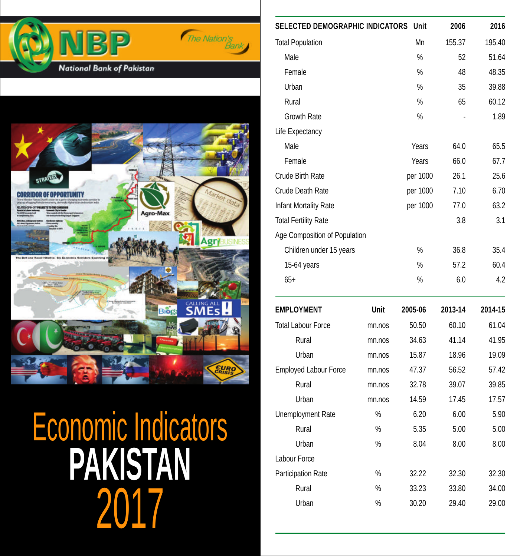



2017 **PAKISTAN** Economic Indicators

|        | Unit     | 2006                                   | 2016    |
|--------|----------|----------------------------------------|---------|
|        | Mn       | 155.37                                 | 195.40  |
|        | $\%$     | 52                                     | 51.64   |
|        | $\%$     | 48                                     | 48.35   |
|        | $\%$     | 35                                     | 39.88   |
|        | $\%$     | 65                                     | 60.12   |
|        | %        |                                        | 1.89    |
|        |          |                                        |         |
|        | Years    | 64.0                                   | 65.5    |
|        | Years    | 66.0                                   | 67.7    |
|        | per 1000 | 26.1                                   | 25.6    |
|        | per 1000 | 7.10                                   | 6.70    |
|        | per 1000 | 77.0                                   | 63.2    |
|        |          | 3.8                                    | 3.1     |
|        |          |                                        |         |
|        | %        | 36.8                                   | 35.4    |
|        | $\%$     | 57.2                                   | 60.4    |
|        | %        | 6.0                                    | 4.2     |
| Unit   | 2005-06  | 2013-14                                | 2014-15 |
| mn.nos | 50.50    | 60.10                                  | 61.04   |
| mn.nos | 34.63    | 41.14                                  | 41.95   |
| mn.nos | 15.87    | 18.96                                  | 19.09   |
| mn.nos | 47.37    | 56.52                                  | 57.42   |
| mn.nos | 32.78    | 39.07                                  | 39.85   |
| mn.nos | 14.59    | 17.45                                  | 17.57   |
| %      | 6.20     | 6.00                                   | 5.90    |
| %      | 5.35     | 5.00                                   | 5.00    |
| %      | 8.04     | 8.00                                   | 8.00    |
|        |          |                                        |         |
| %      | 32.22    | 32.30                                  | 32.30   |
| %      | 33.23    | 33.80                                  | 34.00   |
| %      | 30.20    | 29.40                                  | 29.00   |
|        |          | <b>SELECTED DEMOGRAPHIC INDICATORS</b> |         |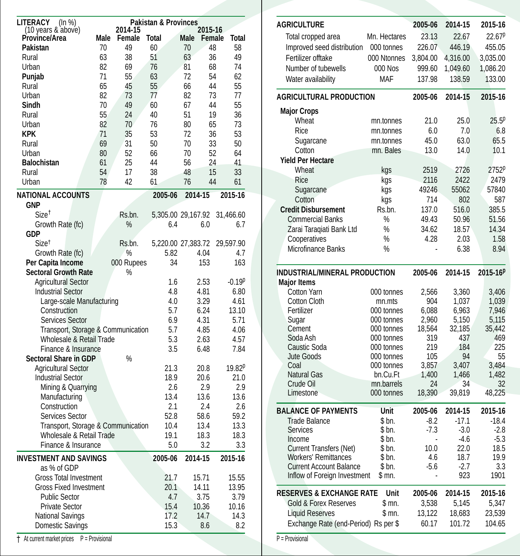| <b>LITERACY</b><br>(ln %)          |                 |            | <b>Pakistan &amp; Provinces</b> |         |         |             |
|------------------------------------|-----------------|------------|---------------------------------|---------|---------|-------------|
| (10 years & above)                 |                 | 2014-15    |                                 |         | 2015-16 |             |
| Province/Area                      | Male            | Female     | Total                           | Male    | Female  | Total       |
| Pakistan                           | 70              | 49         | 60                              | 70      | 48      | 58          |
| Rural                              | 63              | 38         | 51                              | 63      | 36      | 49          |
| Urban                              | 82              | 69         | 76                              | 81      | 68      | 74          |
| Punjab                             | 71              | 55         | 63                              | 72      | 54      | 62          |
| Rural                              | 65              | 45         | 55                              | 66      | 44      | 55          |
| Urban                              | 82              | 73         | 77                              | 82      | 73      | 77          |
| Sindh                              | 70              | 49         | 60                              | 67      | 44      | 55          |
| Rural                              | 55              | 24         | 40                              | 51      | 19      | 36          |
| Urban                              | 82              | 70         | 76                              | 80      | 65      | 73          |
| KPK                                | 71              | 35         | 53                              | 72      | 36      | 53          |
| Rural                              | 69              | 31         | 50                              | 70      | 33      | 50          |
| Urban                              | 80              | 52         | 66                              | 70      | 52      | 64          |
| <b>Balochistan</b>                 | 61              | 25         | 44                              | 56      | 24      | 41          |
| Rural                              | 54              | 17         | 38                              | 48      | 15      | 33          |
| Urban                              | 78              | 42         | 61                              | 76      | 44      | 61          |
| <b>NATIONAL ACCOUNTS</b>           |                 |            | 2005-06                         | 2014-15 |         | 2015-16     |
| <b>GNP</b>                         |                 |            |                                 |         |         |             |
| $Size^{\dagger}$                   |                 | Rs.bn.     | 5,305.00 29,167.92              |         |         | 31,466.60   |
| Growth Rate (fc)                   |                 | $\%$       | 6.4                             |         | 6.0     | 6.7         |
| <b>GDP</b>                         |                 |            |                                 |         |         |             |
| Size <sup>t</sup>                  |                 | Rs.bn.     | 5,220.00 27,383.72              |         |         | 29,597.90   |
| Growth Rate (fc)                   |                 | %          | 5.82                            |         | 4.04    | 4.7         |
| Per Capita Income                  |                 | 000 Rupees | 34                              |         | 153     | 163         |
| <b>Sectoral Growth Rate</b>        |                 | %          |                                 |         |         |             |
| <b>Agricultural Sector</b>         |                 |            | 1.6                             |         | 2.53    | $-0.19p$    |
| <b>Industrial Sector</b>           |                 |            | 4.8                             |         | 4.81    | 6.80        |
| Large-scale Manufacturing          |                 |            | 4.0                             |         | 3.29    | 4.61        |
| Construction                       |                 |            | 5.7                             |         | 6.24    | 13.10       |
| <b>Services Sector</b>             |                 |            | 6.9                             |         | 4.31    | 5.71        |
| Transport, Storage & Communication |                 |            | 5.7                             |         | 4.85    | 4.06        |
| Wholesale & Retail Trade           |                 |            | 5.3                             |         | 2.63    | 4.57        |
| Finance & Insurance                |                 |            | 3.5                             |         | 6.48    | 7.84        |
| <b>Sectoral Share in GDP</b>       |                 | %          |                                 |         |         |             |
| <b>Agricultural Sector</b>         |                 |            | 21.3                            |         | 20.8    | $19.82^{p}$ |
| <b>Industrial Sector</b>           |                 |            | 18.9                            |         | 20.6    | 21.0        |
| Mining & Quarrying                 |                 |            | 2.6                             |         | 2.9     | 2.9         |
| Manufacturing                      |                 |            | 13.4                            |         | 13.6    | 13.6        |
| Construction                       |                 |            | 2.1                             |         | 2.4     | 2.6         |
| Services Sector                    |                 |            | 52.8                            |         | 58.6    | 59.2        |
| Transport, Storage & Communication |                 |            | 10.4                            |         | 13.4    | 13.3        |
| Wholesale & Retail Trade           |                 |            | 19.1                            |         | 18.3    | 18.3        |
| Finance & Insurance                |                 |            | 5.0                             |         | 3.2     | 3.3         |
| <b>INVESTMENT AND SAVINGS</b>      |                 |            | 2005-06                         | 2014-15 |         | 2015-16     |
| as % of GDP                        |                 |            |                                 |         |         |             |
| <b>Gross Total Investment</b>      |                 |            | 21.7                            |         | 15.71   | 15.55       |
| <b>Gross Fixed Investment</b>      |                 |            | 20.1                            |         | 14.11   | 13.95       |
| <b>Public Sector</b>               |                 |            | 4.7                             |         | 3.75    | 3.79        |
| <b>Private Sector</b>              |                 |            | 15.4                            |         | 10.36   | 10.16       |
| <b>National Savings</b>            |                 |            | 17.2                            |         | 14.7    | 14.3        |
| Domestic Savings                   |                 |            | 15.3                            |         | 8.6     | 8.2         |
| + At current market prices         | P = Provisional |            |                                 |         |         |             |

| <b>AGRICULTURE</b>                                             |                          | 2005-06      | 2014-15       | 2015-16              |
|----------------------------------------------------------------|--------------------------|--------------|---------------|----------------------|
| Total cropped area                                             | Mn. Hectares             | 23.13        | 22.67         | $22.67^p$            |
| Improved seed distribution                                     | 000 tonnes               | 226.07       | 446.19        | 455.05               |
| Fertilizer offtake                                             | 000 Ntonnes              | 3,804.00     | 4,316.00      | 3,035.00             |
| Number of tubewells                                            | 000 Nos                  | 999.60       | 1,049.60      | 1,086.20             |
| Water availability                                             | <b>MAF</b>               | 137.98       | 138.59        | 133.00               |
| <b>AGRICULTURAL PRODUCTION</b>                                 |                          | 2005-06      | 2014-15       | 2015-16              |
| <b>Major Crops</b>                                             |                          |              |               |                      |
| Wheat                                                          | mn.tonnes                | 21.0         | 25.0          | 25.5 <sup>p</sup>    |
| Rice                                                           | mn.tonnes                | 6.0          | 7.0           | 6.8                  |
| Sugarcane                                                      | mn.tonnes                | 45.0         | 63.0          | 65.5                 |
| Cotton                                                         | mn. Bales                | 13.0         | 14.0          | 10.1                 |
| <b>Yield Per Hectare</b>                                       |                          |              |               |                      |
| Wheat                                                          | kgs                      | 2519         | 2726          | 2752p                |
| Rice                                                           | kgs                      | 2116         | 2422          | 2479                 |
| Sugarcane                                                      | kgs                      | 49246        | 55062         | 57840                |
| Cotton                                                         | kgs                      | 714          | 802           | 587                  |
| <b>Credit Disbursement</b>                                     | Rs.bn.                   | 137.0        | 516.0         | 385.5                |
| <b>Commercial Banks</b>                                        | %                        | 49.43        | 50.96         | 51.56                |
| Zarai Taraqiati Bank Ltd                                       | %                        | 34.62        | 18.57         | 14.34                |
| Cooperatives                                                   | $\%$                     | 4.28         | 2.03          | 1.58                 |
| Microfinance Banks                                             | %                        |              | 6.38          | 8.94                 |
| INDUSTRIAL/MINERAL PRODUCTION                                  |                          | 2005-06      | 2014-15       | 2015-16 <sup>p</sup> |
| <b>Major Items</b>                                             |                          |              |               |                      |
| Cotton Yarn                                                    | 000 tonnes               | 2,566        | 3,360         | 3,406                |
| <b>Cotton Cloth</b>                                            | mn.mts                   | 904          | 1,037         | 1,039                |
| Fertilizer                                                     | 000 tonnes               | 6,088        | 6,963         | 7,946                |
| Sugar                                                          | 000 tonnes               | 2,960        | 5,150         | 5,115                |
| Cement                                                         | 000 tonnes               | 18,564       | 32,185        | 35,442               |
| Soda Ash                                                       | 000 tonnes               | 319          | 437           | 469                  |
| Caustic Soda                                                   | 000 tonnes               | 219          | 184           | 225                  |
| Jute Goods<br>Coal                                             | 000 tonnes<br>000 tonnes | 105<br>3,857 | 94<br>3,407   | 55<br>3,484          |
| <b>Natural Gas</b>                                             | bn.Cu.Ft                 | 1,400        | 1,466         | 1,482                |
| Crude Oil                                                      | mn.barrels               | 24           | 34            | 32                   |
| Limestone                                                      | 000 tonnes               | 18,390       | 39,819        | 48,225               |
| <b>BALANCE OF PAYMENTS</b>                                     | Unit                     | 2005-06      | 2014-15       | 2015-16              |
| <b>Trade Balance</b>                                           | \$ bn.                   | $-8.2$       | $-17.1$       | $-18.4$              |
| Services                                                       | \$bn.                    | $-7.3$       | $-3.0$        | $-2.8$               |
| Income                                                         | \$ bn.                   |              | $-4.6$        | $-5.3$               |
| <b>Current Transfers (Net)</b>                                 | \$ bn.                   | 10.0         | 22.0          | 18.5                 |
| <b>Workers' Remittances</b>                                    | \$ bn.                   | 4.6          | 18.7          | 19.9                 |
| <b>Current Account Balance</b><br>Inflow of Foreign Investment | \$ bn.<br>\$ mn.         | $-5.6$       | $-2.7$<br>923 | 3.3<br>1901          |
|                                                                |                          |              |               |                      |
| <b>RESERVES &amp; EXCHANGE RATE</b>                            | Unit                     | 2005-06      | 2014-15       | 2015-16              |
| Gold & Forex Reserves                                          | \$ mn.                   | 3,538        | 5,145         | 5,347                |
| <b>Liquid Reserves</b>                                         | \$ mn.                   | 13,122       | 18,683        | 23,539               |
| Exchange Rate (end-Period) Rs per \$                           |                          | 60.17        | 101.72        | 104.65               |

P = Provisional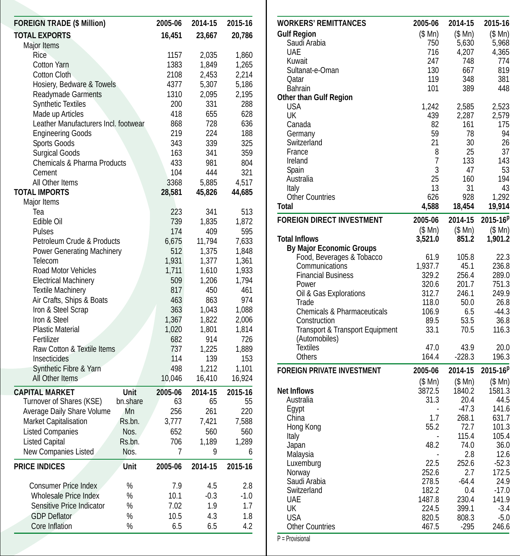| <b>FOREIGN TRADE (\$ Million)</b>            |               | 2005-06        | 2014-15        | 2015-16        |
|----------------------------------------------|---------------|----------------|----------------|----------------|
| <b>TOTAL EXPORTS</b>                         |               | 16,451         | 23,667         | 20,786         |
| Major Items                                  |               |                |                |                |
| Rice                                         |               | 1157           | 2,035          | 1,860          |
| <b>Cotton Yarn</b>                           |               | 1383           | 1,849          | 1,265          |
| <b>Cotton Cloth</b>                          |               | 2108           | 2,453          | 2,214          |
| Hosiery, Bedware & Towels                    |               | 4377           | 5,307          | 5,186          |
| <b>Readymade Garments</b>                    |               | 1310           | 2,095          | 2,195          |
| <b>Synthetic Textiles</b>                    |               | 200            | 331            | 288            |
| Made up Articles                             |               | 418            | 655            | 628            |
| Leather Manufacturers Incl. footwear         |               | 868            | 728            | 636            |
| <b>Engineering Goods</b>                     |               | 219            | 224            | 188            |
| <b>Sports Goods</b>                          |               | 343            | 339            | 325            |
| <b>Surgical Goods</b>                        |               | 163            | 341            | 359            |
| <b>Chemicals &amp; Pharma Products</b>       |               | 433            | 981            | 804            |
| Cement                                       |               | 104            | 444            | 321            |
| All Other Items                              |               | 3368           | 5,885          | 4,517          |
| <b>TOTAL IMPORTS</b>                         |               | 28,581         | 45,826         | 44,685         |
| Major Items                                  |               |                |                |                |
| Tea                                          |               | 223            | 341            | 513            |
| Edible Oil                                   |               | 739            | 1,835          | 1,872          |
| Pulses<br>Petroleum Crude & Products         |               | 174            | 409<br>11,794  | 595            |
|                                              |               | 6,675          |                | 7,633          |
| <b>Power Generating Machinery</b><br>Telecom |               | 512            | 1,375          | 1,848<br>1,361 |
| Road Motor Vehicles                          |               | 1,931<br>1,711 | 1,377<br>1,610 | 1,933          |
| <b>Electrical Machinery</b>                  |               | 509            | 1,206          | 1.794          |
| <b>Textile Machinery</b>                     |               | 817            | 450            | 461            |
| Air Crafts, Ships & Boats                    |               | 463            | 863            | 974            |
| Iron & Steel Scrap                           |               | 363            | 1,043          | 1,088          |
| Iron & Steel                                 |               | 1,367          | 1.822          | 2,006          |
| <b>Plastic Material</b>                      |               | 1,020          | 1,801          | 1,814          |
| Fertilizer                                   |               | 682            | 914            | 726            |
| Raw Cotton & Textile Items                   |               | 737            | 1,225          | 1,889          |
| Insecticides                                 |               | 114            | 139            | 153            |
| Synthetic Fibre & Yarn                       |               | 498            | 1,212          | 1,101          |
| All Other Items                              |               | 10,046         | 16,410         | 16,924         |
| <b>CAPITAL MARKET</b>                        | <b>Unit</b>   | 2005-06        | 2014-15        | 2015-16        |
| Turnover of Shares (KSE)                     | bn.share      | 63             | 65             | 55             |
| Average Daily Share Volume                   | Mn            | 256            | 261            | 220            |
| Market Capitalisation                        | Rs.bn.        | 3,777          | 7,421          | 7,588          |
| <b>Listed Companies</b>                      | Nos.          | 652            | 560            | 560            |
| <b>Listed Capital</b>                        | Rs.bn.        | 706            | 1,189          | 1,289          |
| New Companies Listed                         | Nos.          |                | 9              | 6              |
|                                              |               | 7              |                |                |
| <b>PRICE INDICES</b>                         | Unit          | 2005-06        | 2014-15        | 2015-16        |
| <b>Consumer Price Index</b>                  | $\frac{0}{0}$ | 7.9            | 4.5            | 2.8            |
| <b>Wholesale Price Index</b>                 | %             | 10.1           | $-0.3$         | $-1.0$         |
| Sensitive Price Indicator                    | %             | 7.02           | 1.9            | 1.7            |
| <b>GDP Deflator</b>                          | $\%$          | 10.5           | 4.3            | 1.8            |
| Core Inflation                               | $\%$          | 6.5            | 6.5            | 4.2            |
|                                              |               |                |                |                |

| <b>WORKERS' REMITTANCES</b>            | 2005-06          | 2014-15          | 2015-16         |
|----------------------------------------|------------------|------------------|-----------------|
| <b>Gulf Region</b>                     | $(S \text{ Mn})$ | $(S \text{ Mn})$ | (S Mn)          |
| Saudi Arabia                           | 750              | 5,630            | 5,968           |
| <b>UAE</b>                             | 716              | 4,207            | 4,365           |
| Kuwait                                 | 247              | 748              | 774             |
| Sultanat-e-Oman                        | 130              | 667              | 819             |
| Qatar                                  | 119              | 348              | 381             |
| <b>Bahrain</b>                         | 101              | 389              | 448             |
| <b>Other than Gulf Region</b>          |                  |                  |                 |
| <b>USA</b>                             | 1,242            | 2,585            | 2,523           |
| UK                                     | 439              | 2,287            | 2,579           |
| Canada                                 | 82               | 161              | 175             |
| Germany                                | 59               | 78               | 94              |
| Switzerland                            | 21               | 30               | 26              |
| France                                 | 8                | 25               | 37              |
| Ireland                                | 7                | 133              | 143             |
| Spain                                  | 3                | 47               | 53              |
| Australia                              | 25               | 160              | 194             |
| Italy                                  | 13               | 31               | 43              |
| <b>Other Countries</b>                 | 626              | 928              | 1,292           |
| Total                                  | 4,588            | 18,454           | 19,914          |
| <b>FOREIGN DIRECT INVESTMENT</b>       | 2005-06          | 2014-15          | $2015 - 16^{p}$ |
|                                        | $(S \text{ Mn})$ | (S Mn)           | (\$Mn)          |
| <b>Total Inflows</b>                   | 3,521.0          | 851.2            | 1,901.2         |
| <b>By Major Economic Groups</b>        |                  |                  |                 |
| Food, Beverages & Tobacco              | 61.9             | 105.8            | 22.3            |
| Communications                         | 1,937.7          | 45.1             | 236.8           |
| <b>Financial Business</b>              | 329.2            | 256.4            | 289.0           |
| Power                                  | 320.6            | 201.7            | 751.3           |
| Oil & Gas Explorations                 | 312.7            | 246.1            | 249.9           |
| Trade                                  | 118.0            | 50.0             | 26.8            |
| <b>Chemicals &amp; Pharmaceuticals</b> | 106.9            | 6.5              | $-44.3$         |
| Construction                           | 89.5             | 53.5             | 36.8            |
| Transport & Transport Equipment        | 33.1             | 70.5             | 116.3           |
| (Automobiles)                          |                  |                  |                 |
| <b>Textiles</b>                        | 47.0             | 43.9             | 20.0            |
| <b>Others</b>                          | 164.4            | $-228.3$         | 196.3           |
| <b>FOREIGN PRIVATE INVESTMENT</b>      | 2005-06          | 2014-15          | 2015-16P        |
|                                        | (S Mn)           | (S Mn)           | \$Mn)           |
| <b>Net Inflows</b>                     | 3872.5           | 1840.2           | 1581.3          |
| Australia                              | 31.3             | 20.4             | 44.5            |
| Egypt                                  |                  | $-47.3$          | 141.6           |
| China                                  | 1.7              | 268.1            | 631.7           |
| Hong Kong                              | 55.2             | 72.7             | 101.3           |
| Italy                                  |                  | 115.4            | 105.4           |
| Japan                                  | 48.2             | 74.0             | 36.0            |
| Malaysia                               |                  | 2.8              | 12.6            |
| Luxemburg                              | 22.5             | 252.6            | $-52.3$         |
| Norway                                 | 252.6            | 2.7              | 172.5           |
| Saudi Arabia                           | 278.5            | $-64.4$          | 24.9            |
| Switzerland                            | 182.2            | 0.4              | $-17.0$         |
| <b>UAE</b>                             | 1487.8           | 230.4            | 141.9           |
| UK                                     | 224.5            | 399.1            | $-3.4$          |
| <b>USA</b>                             | 820.5            | 808.3            | $-5.0$          |
| <b>Other Countries</b>                 | 467.5            | $-295$           | 246.6           |
|                                        |                  |                  |                 |

P = Provisional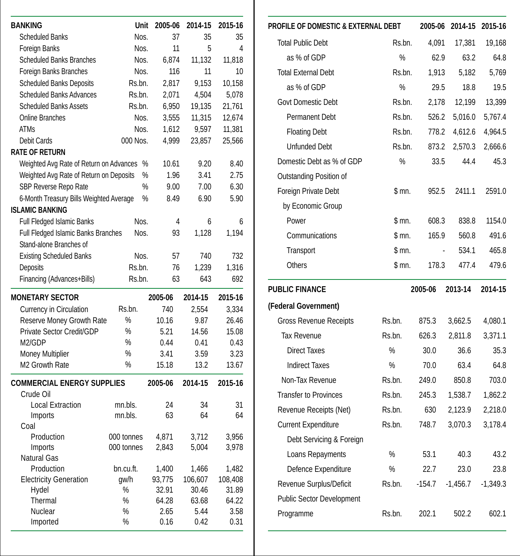| <b>BANKING</b>                                 | Unit          |      | 2005-06         | 2014-15        | 2015-16        |
|------------------------------------------------|---------------|------|-----------------|----------------|----------------|
| <b>Scheduled Banks</b>                         | Nos.          |      | 37              | 35             | 35             |
| <b>Foreign Banks</b>                           | Nos.          |      | 11              | 5              | 4              |
| Scheduled Banks Branches                       | Nos.          |      | 6,874           | 11,132         | 11,818         |
| Foreign Banks Branches                         | Nos.          |      | 116             | 11             | 10             |
| <b>Scheduled Banks Deposits</b>                | Rs.bn.        |      | 2,817           | 9,153          | 10,158         |
| <b>Scheduled Banks Advances</b>                | Rs.bn.        |      | 2,071           | 4,504          | 5,078          |
| <b>Scheduled Banks Assets</b>                  | Rs.bn.        |      | 6,950           | 19,135         | 21,761         |
| <b>Online Branches</b>                         | Nos.          |      | 3,555           | 11,315         | 12,674         |
| <b>ATMs</b>                                    | Nos.          |      | 1,612           | 9,597          | 11,381         |
| Debit Cards                                    | 000 Nos.      |      | 4,999           | 23,857         | 25,566         |
| <b>RATE OF RETURN</b>                          |               |      |                 |                |                |
| Weighted Avg Rate of Return on Advances        |               | %    | 10.61           | 9.20           | 8.40           |
| Weighted Avg Rate of Return on Deposits        |               | %    | 1.96            | 3.41           | 2.75           |
| SBP Reverse Repo Rate                          |               | $\%$ | 9.00            | 7.00           | 6.30           |
| 6-Month Treasury Bills Weighted Average        |               | %    | 8.49            | 6.90           | 5.90           |
| <b>ISLAMIC BANKING</b>                         |               |      |                 |                |                |
| <b>Full Fledged Islamic Banks</b>              | Nos.          |      | 4               | 6              | 6              |
| Full Fledged Islamic Banks Branches            | Nos.          |      | 93              | 1,128          | 1,194          |
| Stand-alone Branches of                        |               |      |                 |                |                |
| <b>Existing Scheduled Banks</b>                | Nos.          |      | 57              | 740            | 732            |
| Deposits                                       | Rs.bn.        |      | 76              | 1.239          | 1,316          |
| Financing (Advances+Bills)                     | Rs.bn.        |      | 63              | 643            | 692            |
| <b>MONETARY SECTOR</b>                         |               |      | 2005-06         | 2014-15        | 2015-16        |
| Currency in Circulation                        | Rs.bn.        |      | 740             | 2,554          | 3,334          |
| <b>Reserve Money Growth Rate</b>               | $\frac{0}{0}$ |      | 10.16           | 9.87           | 26.46          |
| Private Sector Credit/GDP                      | %             |      | 5.21            | 14.56          | 15.08          |
| M2/GDP                                         | $\%$          |      | 0.44            | 0.41           | 0.43           |
| <b>Money Multiplier</b>                        | %             |      | 3.41            | 3.59           | 3.23           |
| M2 Growth Rate                                 | $\%$          |      | 15.18           | 13.2           | 13.67          |
| <b>COMMERCIAL ENERGY SUPPLIES</b><br>Crude Oil |               |      | 2005-06         | 2014-15        | 2015-16        |
| <b>Local Extraction</b>                        | mn.bls.       |      | 24              | 34             | 31             |
| Imports                                        | mn.bls.       |      | 63              | 64             | 64             |
| Coal                                           |               |      |                 |                |                |
| Production                                     | 000 tonnes    |      | 4,871           | 3,712          | 3,956          |
| Imports                                        | 000 tonnes    |      | 2,843           | 5,004          | 3,978          |
| <b>Natural Gas</b>                             |               |      |                 |                |                |
| Production                                     | bn.cu.ft.     |      | 1,400           | 1,466          | 1,482          |
| <b>Electricity Generation</b>                  | gw/h<br>%     |      | 93,775<br>32.91 | 106,607        | 108,408        |
| Hydel<br>Thermal                               | %             |      | 64.28           | 30.46<br>63.68 | 31.89<br>64.22 |
| Nuclear                                        | $\%$          |      | 2.65            | 5.44           | 3.58           |
| Imported                                       |               |      |                 |                |                |

| Unit<br>Nos. | 2005-06<br>37   | 2014-15<br>35    | 2015-16<br>35    | PROFILE OF DOMESTIC & EXTERNAL DEBT |        |                | 2005-06 2014-15 2015-16 |            |
|--------------|-----------------|------------------|------------------|-------------------------------------|--------|----------------|-------------------------|------------|
| Nos.         | 11              | 5                | 4                | <b>Total Public Debt</b>            | Rs.bn. | 4,091          | 17,381                  |            |
| Nos.         | 6,874           | 11,132           | 11,818           | as % of GDP                         | %      | 62.9           | 63.2                    |            |
| Nos.         | 116             | 11               | 10               | <b>Total External Debt</b>          | Rs.bn. | 1,913          | 5,182                   |            |
| s.bn.        | 2,817           | 9,153            | 10,158           | as % of GDP                         | %      | 29.5           | 18.8                    |            |
| s.bn.        | 2,071           | 4,504            | 5,078            | Govt Domestic Debt                  | Rs.bn. | 2,178          | 12,199                  |            |
| s.bn.        | 6,950           | 19,135           | 21,761           | <b>Permanent Debt</b>               | Rs.bn. | 526.2          | 5,016.0                 |            |
| Nos.<br>Nos. | 3,555<br>1,612  | 11,315<br>9,597  | 12,674<br>11,381 |                                     |        |                |                         |            |
| Nos.         | 4,999           | 23,857           | 25,566           | <b>Floating Debt</b>                | Rs.bn. | 778.2          | 4,612.6                 | 4,964.5    |
|              |                 |                  |                  | <b>Unfunded Debt</b>                | Rs.bn. | 873.2          | 2,570.3                 | 2,666.6    |
| $\%$         | 10.61           | 9.20             | 8.40             | Domestic Debt as % of GDP           | %      | 33.5           | 44.4                    |            |
| %            | 1.96            | 3.41             | 2.75             | Outstanding Position of             |        |                |                         |            |
| %            | 9.00            | 7.00             | 6.30             | Foreign Private Debt                | \$m.   | 952.5          | 2411.1                  |            |
| %            | 8.49            | 6.90             | 5.90             | by Economic Group                   |        |                |                         |            |
| Nos.         | 4               | 6                | 6                | Power                               | \$ mn. | 608.3          | 838.8                   |            |
| Nos.         | 93              | 1,128            | 1,194            | Communications                      | \$m.   | 165.9          | 560.8                   |            |
| Nos.         | 57              | 740              | 732              | Transport                           | \$m.   | $\blacksquare$ | 534.1                   |            |
| s.bn.        | 76              | 1,239            | 1,316            | <b>Others</b>                       | \$ mn. | 178.3          | 477.4                   |            |
| s.bn.        | 63              | 643              | 692              |                                     |        |                |                         |            |
|              | 2005-06         | 2014-15          | 2015-16          | <b>PUBLIC FINANCE</b>               |        | 2005-06        | 2013-14                 | 2014-15    |
|              | 740             | 2,554            | 3,334            | (Federal Government)                |        |                |                         |            |
|              | 10.16           | 9.87             | 26.46            | <b>Gross Revenue Receipts</b>       | Rs.bn. | 875.3          | 3,662.5                 | 4,080.1    |
|              | 5.21            | 14.56            | 15.08            | <b>Tax Revenue</b>                  | Rs.bn. | 626.3          | 2,811.8                 | 3,371.1    |
|              | 0.44            | 0.41             | 0.43             | <b>Direct Taxes</b>                 | %      | 30.0           | 36.6                    |            |
|              | 3.41<br>15.18   | 3.59<br>13.2     | 3.23<br>13.67    | <b>Indirect Taxes</b>               | $\%$   | 70.0           | 63.4                    |            |
|              |                 |                  |                  | Non-Tax Revenue                     | Rs.bn. | 249.0          | 850.8                   |            |
|              | 2005-06         | 2014-15          | 2015-16          | <b>Transfer to Provinces</b>        | Rs.bn. | 245.3          | 1,538.7                 | 1,862.2    |
|              | 24              | 34               | 31               |                                     |        |                |                         | 2,218.0    |
|              | 63              | 64               | 64               | Revenue Receipts (Net)              | Rs.bn. | 630            | 2,123.9                 |            |
|              |                 |                  |                  | <b>Current Expenditure</b>          | Rs.bn. | 748.7          | 3,070.3                 | 3,178.4    |
| es<br>es     | 4,871<br>2,843  | 3,712<br>5,004   | 3,956<br>3,978   | Debt Servicing & Foreign            |        |                |                         |            |
|              |                 |                  |                  | Loans Repayments                    | %      | 53.1           | 40.3                    |            |
|              | 1,400           | 1,466            | 1,482            | Defence Expenditure                 | %      | 22.7           | 23.0                    |            |
|              | 93,775<br>32.91 | 106,607<br>30.46 | 108,408<br>31.89 | Revenue Surplus/Deficit             | Rs.bn. | $-154.7$       | $-1,456.7$              | $-1,349.3$ |
|              | 64.28           | 63.68            | 64.22            | <b>Public Sector Development</b>    |        |                |                         |            |
|              | 2.65            | 5.44             | 3.58             | Programme                           | Rs.bn. | 202.1          | 502.2                   |            |
|              | 0.16            | 0.42             | 0.31             |                                     |        |                |                         |            |